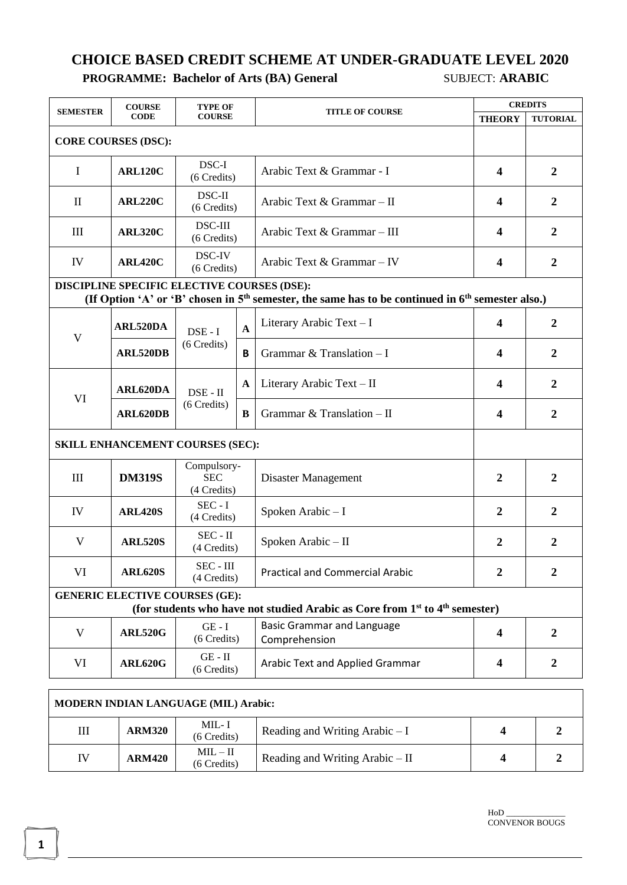## **CHOICE BASED CREDIT SCHEME AT UNDER-GRADUATE LEVEL 2020 PROGRAMME: Bachelor of Arts (BA) General** SUBJECT: **ARABIC**

| <b>SEMESTER</b>                                                                                                                                      | <b>COURSE</b>                                     | <b>TYPE OF</b>                           |              | <b>TITLE OF COURSE</b>                             | <b>CREDITS</b>          |                  |  |
|------------------------------------------------------------------------------------------------------------------------------------------------------|---------------------------------------------------|------------------------------------------|--------------|----------------------------------------------------|-------------------------|------------------|--|
| <b>CODE</b>                                                                                                                                          |                                                   | <b>COURSE</b>                            |              |                                                    | <b>THEORY</b>           | <b>TUTORIAL</b>  |  |
|                                                                                                                                                      | <b>CORE COURSES (DSC):</b>                        |                                          |              |                                                    |                         |                  |  |
| $\mathbf I$                                                                                                                                          | <b>ARL120C</b>                                    | DSC-I<br>(6 Credits)                     |              | Arabic Text & Grammar - I                          | $\overline{\mathbf{4}}$ | $\boldsymbol{2}$ |  |
| $\mathbf{I}$                                                                                                                                         | <b>ARL220C</b>                                    | DSC-II<br>(6 Credits)                    |              | Arabic Text & Grammar - II                         | $\overline{\mathbf{4}}$ | $\overline{2}$   |  |
| III                                                                                                                                                  | <b>ARL320C</b>                                    | <b>DSC-III</b><br>(6 Credits)            |              | Arabic Text & Grammar - III                        | 4                       | $\overline{2}$   |  |
| IV                                                                                                                                                   | <b>ARL420C</b>                                    | DSC-IV<br>(6 Credits)                    |              | Arabic Text & Grammar - IV                         | 4                       | $\boldsymbol{2}$ |  |
| DISCIPLINE SPECIFIC ELECTIVE COURSES (DSE):<br>(If Option 'A' or 'B' chosen in $5th$ semester, the same has to be continued in $6th$ semester also.) |                                                   |                                          |              |                                                    |                         |                  |  |
|                                                                                                                                                      | ARL520DA                                          | $DSE - I$<br>(6 Credits)                 | $\mathbf{A}$ | Literary Arabic Text - I                           | $\overline{\mathbf{4}}$ | $\overline{2}$   |  |
| $\mathbf V$                                                                                                                                          | ARL520DB                                          |                                          | B            | Grammar & Translation $-I$                         | 4                       | $\overline{2}$   |  |
| VI                                                                                                                                                   | ARL620DA                                          | $DSE - II$                               | A            | Literary Arabic Text - II                          | $\overline{\mathbf{4}}$ | $\overline{2}$   |  |
|                                                                                                                                                      | ARL620DB                                          | (6 Credits)                              | B            | Grammar & Translation $-$ II                       | $\overline{\mathbf{4}}$ | $\overline{2}$   |  |
| SKILL ENHANCEMENT COURSES (SEC):                                                                                                                     |                                                   |                                          |              |                                                    |                         |                  |  |
| III                                                                                                                                                  | <b>DM319S</b>                                     | Compulsory-<br><b>SEC</b><br>(4 Credits) |              | Disaster Management                                | $\overline{2}$          | $\overline{2}$   |  |
| IV                                                                                                                                                   | <b>ARL420S</b>                                    | $SEC - I$<br>(4 Credits)                 |              | Spoken Arabic-I                                    | $\overline{2}$          | $\overline{2}$   |  |
| V                                                                                                                                                    | <b>ARL520S</b>                                    | $SEC - II$<br>(4 Credits)                |              | Spoken Arabic - II                                 | $\overline{2}$          | $\overline{2}$   |  |
| VI                                                                                                                                                   | <b>ARL620S</b>                                    | SEC - III<br>(4 Credits)                 |              | <b>Practical and Commercial Arabic</b>             | $\overline{2}$          | $\boldsymbol{2}$ |  |
|                                                                                                                                                      | <b>GENERIC ELECTIVE COURSES (GE):</b>             |                                          |              |                                                    |                         |                  |  |
| (for students who have not studied Arabic as Core from 1 <sup>st</sup> to 4 <sup>th</sup> semester)                                                  |                                                   |                                          |              |                                                    |                         |                  |  |
| V                                                                                                                                                    | <b>ARL520G</b>                                    | $GE - I$<br>(6 Credits)                  |              | <b>Basic Grammar and Language</b><br>Comprehension | $\overline{\mathbf{4}}$ | $\boldsymbol{2}$ |  |
| VI                                                                                                                                                   | <b>ARL620G</b>                                    | $GE - II$<br>(6 Credits)                 |              | <b>Arabic Text and Applied Grammar</b>             | $\overline{\mathbf{4}}$ | $\boldsymbol{2}$ |  |
|                                                                                                                                                      | <b><i>IODEDN INDIAN I ANCHACE (MII) Anghi</i></b> |                                          |              |                                                    |                         |                  |  |

| <b>MODERN INDIAN LANGUAGE (MIL) Arabic:</b> |               |                           |                                   |  |  |  |
|---------------------------------------------|---------------|---------------------------|-----------------------------------|--|--|--|
| Ш                                           | <b>ARM320</b> | $MIL-I$<br>(6 Credits)    | Reading and Writing Arabic $-I$   |  |  |  |
| IV                                          | <b>ARM420</b> | $MIL - II$<br>(6 Credits) | Reading and Writing Arabic $-$ II |  |  |  |